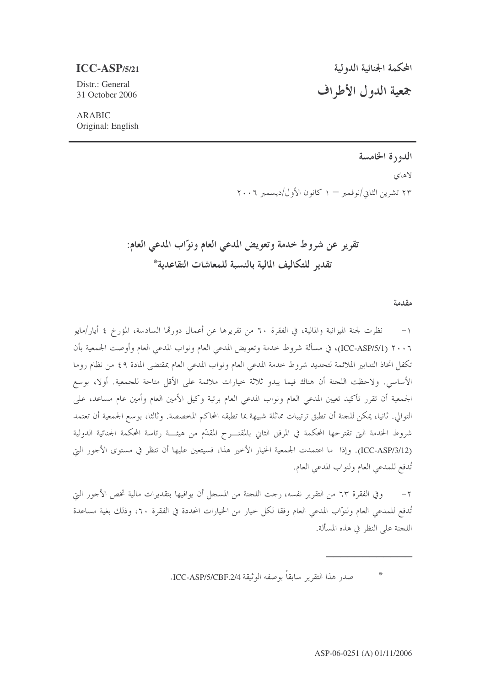## $ICC-ASP/5/21$

جمعية الدول الأطراف

Distr.: General 31 October 2006

## **ARABIC** Original: English

## الدورة الخامسة

لاهای ۲۳ تشرین الثانی/نوفمبر — ۱ کانون الأول/دیسمبر ۲۰۰۶

تقرير عن شروط خدمة وتعويض المدعى العام ونوّاب المدعى العام: تقدبه للتكاليف المالية بالنسية للمعاشات التقاعدية\*

مقدمة

١– نظرت لجنة الميزانية والمالية، في الفقرة ٦٠ من تقريرها عن أعمال دورقما السادسة، المؤرخ ٤ أيار/مايو ٢٠٠٦ (ICC-ASP/5/1)، في مسألة شروط خدمة وتعويض المدعى العام ونواب المدعي العام وأوصت الجمعية بأن تكفل اتخاذ التدابير الملائمة لتحديد شروط حدمة المدعى العام ونواب المدعى العام بمقتضى المادة ٤٩ من نظام روما الأساسي. ولاحظت اللجنة أن هناك فيما يبدو ثلاثة حيارات ملائمة على الأقل متاحة للجمعية. أولا، بوسع الجمعية أن تقرر تأكيد تعيين المدعى العام ونواب المدعى العام برتبة وكيل الأمين العام وأمين عام مساعد، على التوالي. ثانيا، يمكن للجنة أن تطبق ترتيبات مماثلة شبيهة بما تطبقه المحاكم المخصصة. وثالثا، بوسع الجمعية أن تعتمد شروط الخدمة التي تقترحها المحكمة في المرفق الثاني بالمقتـــرح المقدّم من هيئـــة رئاسة المحكمة الجنائية الدولية (ICC-ASP/3/12). وإذا ما اعتمدت الجمعية الخيار الأخير هذا، فسيتعين عليها أن تنظر في مستوى الأجور التي تُدفع للمدعى العام ولنواب المدعى العام.

٢– وفي الفقرة ٦٣ من التقرير نفسه، رجت اللجنة من المسجل أن يوافيها بتقديرات مالية تخص الأجور التي تُدفع للمدعى العام ولنوَّاب المدعى العام وفقا لكل حيار من الخيارات المحددة في الفقرة ٢٠، وذلك بغية مساعدة اللجنة على النظر في هذه المسألة.

صدر هذا التقرير سابقاً بوصفه الوثيقة ICC-ASP/5/CBF.2/4.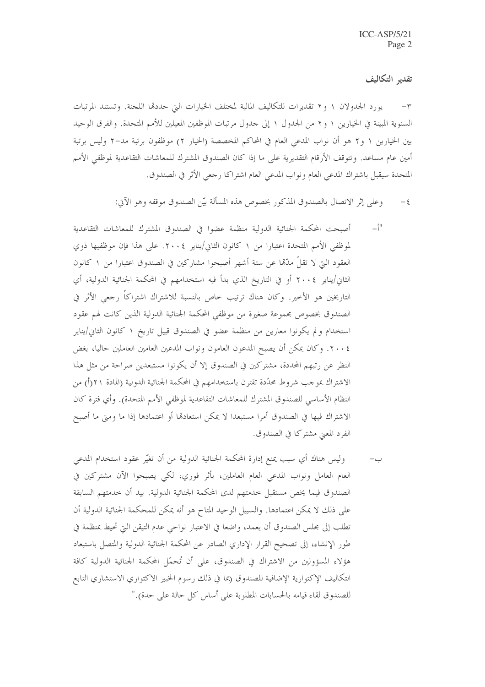تقديه التكاليف

يورد الجدولان ١ و٢ تقديرات للتكاليف المالية لمختلف الخيارات التي حددقما اللجنة. وتستند المرتبات السنوية المبينة في الخيارين ١ و٢ من الجدول ١ إلى حدول مرتبات الموظفين المعيلين للأمم المتحدة. والفرق الوحيد بين الخيارين ١ و٢ هو أن نواب المدعى العام في المحاكم المخصصة (الخيار ٢) موظفون برتبة مد–٢ وليس برتبة أمين عام مساعد. وتتوقف الأرقام التقديرية على ما إذا كان الصندوق المشترك للمعاشات التقاعدية لموظفي الأمم المتحدة سيقبل باشتراك المدعى العام ونواب المدعى العام اشتراكا رجعي الأثر في الصندوق.

- وعلى إثر الاتصال بالصندوق المذكور بخصوص هذه المسألة بيّن الصندوق موقفه وهو الآتي:  $-\xi$
- $-\hat{}}$ " أصبحت المحكمة الجنائية الدولية منظمة عضوا في الصندوق المشترك للمعاشات التقاعدية لموظفي الأمم المتحدة اعتبارًا من ١ كانون الثاني/يناير ٢٠٠٤. على هذا فإن موظفيها ذوي العقود التي لا تقلُّ مدَّمًا عن ستة أشهر أصبحوا مشاركين في الصندوق اعتبارا من ١ كانون الثاني/يناير ٢٠٠٤ أو في التاريخ الذي بدأ فيه استخدامهم في المحكمة الجنائية الدولية، أي التاريخين هو الأخير. وكان هناك ترتيب خاص بالنسبة للاشتراك اشتراكاً رحعي الأثر في الصندوق بخصوص مجموعة صغيرة من موظفى المحكمة الجنائية الدولية الذين كانت لهم عقود استخدام و لم يكونوا معارين من منظمة عضوٍ في الصندوق قبيل تاريخ ١ كانون الثاني/يناير ٢٠٠٤. وكان يمكن أن يصبح المدعون العامون ونواب المدعين العامين العاملين حاليا، بغض النظر عن رتبهم المحددة، مشتركين في الصندوق إلا أن يكونوا مستبعدين صراحة من مثل هذا الاشتراك بموجب شروط محدَّدة تقترن باستخدامهم في المحكمة الجنائية الدولية (المادة ٢١(أ) من النظام الأساسي للصندوق المشترك للمعاشات التقاعدية لموظفي الأمم المتحدة). وأي فترة كان الاشتراك فيها في الصندوق أمرا مستبعدا لا يمكن استعادها أو اعتمادها إذا ما ومتى ما أصبح الفرد المعين مشتركا في الصندوق.
- وليس هناك أي سبب يمنع إدارة المحكمة الجنائية الدولية من أن تغيَّر عقود استخدام المدعى العام العامل ونواب المدعى العام العاملين، بأثر فوري، لكي يصبحوا الآن مشتركين في الصندوق فيما يخص مستقبل خدمتهم لدى المحكمة الجنائية الدولية. بيد أن خدمتهم السابقة على ذلك لا يمكن اعتمادها. والسبيل الوحيد المتاح هو أنه يمكن للمحكمة الجنائية الدولية أن تطلب إلى مجلس الصندوق أن يعمد، واضعا في الاعتبار نواحي عدم التيقن التي تحيط بمنظمة في طور الإنشاء، إلى تصحيح القرار الإداري الصادر عن المحكمة الجنائية الدولية والمتصل باستبعاد هؤلاء المسؤولين من الاشتراك في الصندوق، على أن تُحمّل المحكمة الجنائية الدولية كافة التكاليف الإكتوارية الإضافية للصندوق (بما في ذلك رسوم الخبير الاكتواري الاستشاري التابع للصندوق لقاء قيامه بالحسابات المطلوبة على أساس كل حالة على حدة)."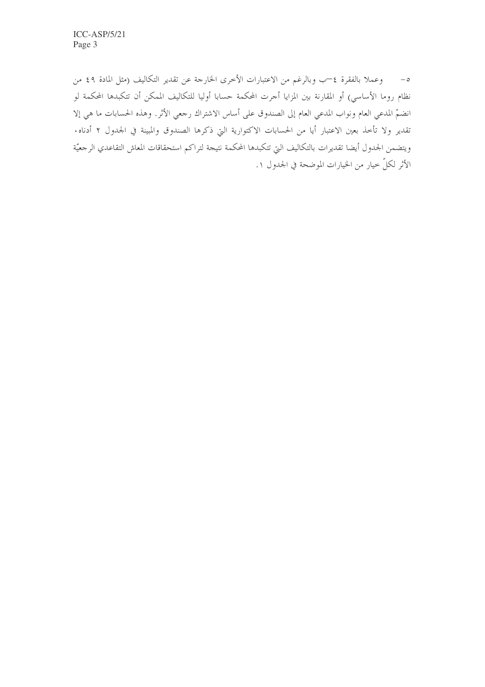٥– وعملا بالفقرة ٤—ب وبالرغم من الاعتبارات الأخرى الخارجة عن تقدير التكاليف (مثل المادة ٤٩ من نظام روما الأساسي) أو المقارنة بين المزايا أحرت المحكمة حسابا أوليا للتكاليف الممكن أن تتكبدها المحكمة لو انضمّ المدعي العام ونواب المدعي العام إلى الصندوق على أساس الاشتراك رجعي الأثر. وهذه الحسابات ما هي إلا تقدير ولا تأخذ بعين الاعتبار أيا من الحسابات الاكتوارية التي ذكرها الصندوق والمبينة في الجدول ٢ أدناه. ويتضمن الجدول أيضا تقديرات بالتكاليف التي تتكبدها المحكمة نتيجة لتراكم استحقاقات المعاش التقاعدي الرجعيّة الأثر لكلِّ حيارٍ من الخيارات الموضحة في الجدول ١.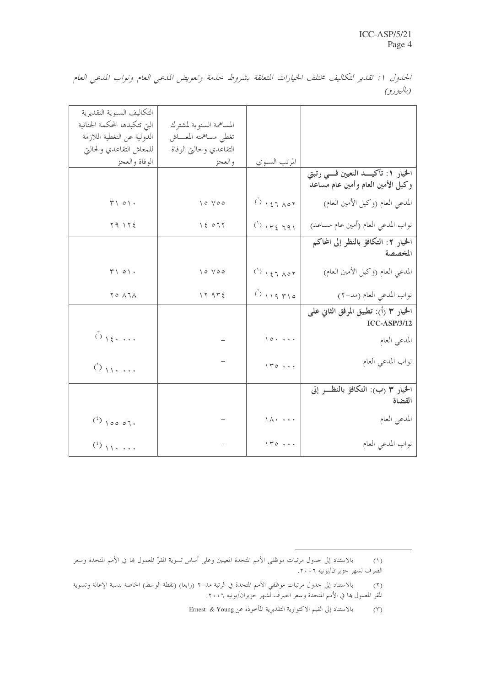الجدول 1: تقدير لتكاليف مختلف الخيارات المتعلقة بشروط حدمة وتعويض المدعبي العام ونواب المدعبي العام (باليورو)

|                                        |                                                   |                               | التكاليف السنوية التقديرية                                                   |
|----------------------------------------|---------------------------------------------------|-------------------------------|------------------------------------------------------------------------------|
|                                        |                                                   | المساهمة السنوية لمشترك       | التي تتكبدها المحكمة الجنائية                                                |
|                                        |                                                   | تغطى مساهمته المعساش          | الدولية عن التغطية اللازمة                                                   |
|                                        |                                                   | التقاعدي وحالتي الوفاة        | للمعاش التقاعدي ولحالتي                                                      |
|                                        | المرتب السنوي                                     | والعجز                        | الوفاة والعجز                                                                |
| الخيار ١: تأكيـــد التعيين فـــي رتبتي |                                                   |                               |                                                                              |
| وكيل الأمين العام وأمين عام مساعد      |                                                   |                               |                                                                              |
| المدعي العام (وكيل الأمين العام)       | $()$ $157007$                                     | $\vee \circ \vee \circ \circ$ | $\Upsilon \setminus \circ \setminus \cdot$                                   |
| نواب المدعي العام (أمين عام مساعد)     | $(')$ $\gamma$ $\gamma$ $\zeta$ $\gamma$ $\gamma$ | 15077                         | $Y \cap Y Y \leq$                                                            |
| الخيار ٢: التكافؤ بالنظر إلى المحاكم   |                                                   |                               |                                                                              |
| المخصصة                                |                                                   |                               |                                                                              |
| المدعي العام (وكيل الأمين العام)       | $(1)$ $157$ $A07$                                 | $\vee \circ \vee \circ \circ$ | $\mathcal{F}\setminus\circ\setminus\cdot$                                    |
| نواب المدعي العام (مد-٢)               | 0.119710                                          | 17975                         | $\begin{array}{c} \mathbf{Y} \circ \mathbf{Y} \wedge \mathbf{X} \end{array}$ |
| الخيار ٣ (أ): تطبيق المرفق الثاني على  |                                                   |                               |                                                                              |
| <b>ICC-ASP/3/12</b>                    |                                                   |                               |                                                                              |
| المدعي العام                           | $\sqrt{2}$                                        |                               | 0 <sub>1</sub>                                                               |
| نواب المدعى العام                      |                                                   |                               |                                                                              |
|                                        | 110                                               |                               | $\binom{3}{2}$                                                               |
| الخيار ٣ (ب): التكافؤ بالنظـــر إلى    |                                                   |                               |                                                                              |
| القضاة                                 |                                                   |                               |                                                                              |
| المدعي العام                           | $\setminus \wedge \cdot \cdot \cdot \cdot \cdot$  |                               |                                                                              |
|                                        |                                                   |                               | $(3)$ 100 07.                                                                |
| نواب المدعي العام                      | $\sqrt{r}$                                        |                               |                                                                              |
|                                        |                                                   |                               |                                                                              |

بالاستناد إلى حدول مرتبات موظفي الأمم المتحدة المعيلين وعلى أساس تسوية المقرّ المعمول بما في الأمم المتحدة وسعر  $(1)$ الصرف لشهر حزيران/يونيه ٢٠٠٦.

بالاستناد إلى حدول مرتبات موظفي الأمم المتحدة في الرتبة مد–٢ (رابعا) (نقطة الوسط) الخاصة بنسبة الإعالة وتسوية  $(\mathsf{r})$ المقر المعمول ها في الأمم المتحدة وسعر الصرف لشهر حزيران/يونيه ٢٠٠٦.

بالاستناد إلى القيم الاكتوارية التقديرية المأخوذة عن Ernest & Young  $(\tilde{r})$